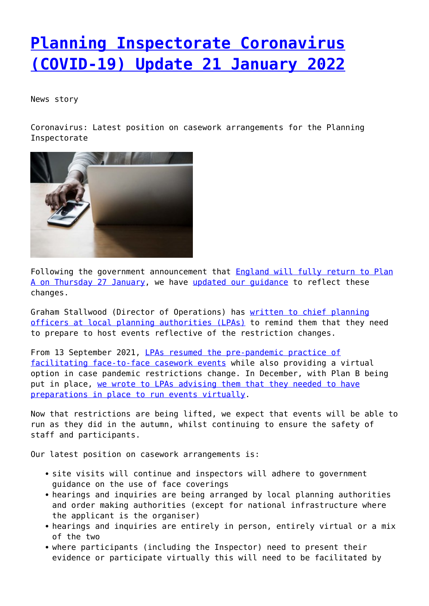## **[Planning Inspectorate Coronavirus](http://www.government-world.com/planning-inspectorate-coronavirus-covid-19-update-21-january-2022/) [\(COVID-19\) Update 21 January 2022](http://www.government-world.com/planning-inspectorate-coronavirus-covid-19-update-21-january-2022/)**

News story

Coronavirus: Latest position on casework arrangements for the Planning Inspectorate



Following the government announcement that [England will fully return to Plan](https://www.gov.uk/government/news/england-to-return-to-plan-a-following-the-success-of-the-booster-programme) [A on Thursday 27 January](https://www.gov.uk/government/news/england-to-return-to-plan-a-following-the-success-of-the-booster-programme), we have [updated our guidance](https://www.gov.uk/guidance/coronavirus-covid-19-planning-inspectorate-guidance) to reflect these changes.

Graham Stallwood (Director of Operations) has [written to chief planning](https://assets.publishing.service.gov.uk/government/uploads/system/uploads/attachment_data/file/1049191/Email_from_Graham_Stallwood_to_Chief_Planning_Officers_January_2022.pdf) [officers at local planning authorities \(LPAs\)](https://assets.publishing.service.gov.uk/government/uploads/system/uploads/attachment_data/file/1049191/Email_from_Graham_Stallwood_to_Chief_Planning_Officers_January_2022.pdf) to remind them that they need to prepare to host events reflective of the restriction changes.

From 13 September 2021, [LPAs resumed the pre-pandemic practice of](https://www.gov.uk/government/news/plans-to-resume-in-person-events) [facilitating face-to-face casework events](https://www.gov.uk/government/news/plans-to-resume-in-person-events) while also providing a virtual option in case pandemic restrictions change. In December, with Plan B being put in place, [we wrote to LPAs advising them that they needed to have](https://www.gov.uk/government/news/planning-inspectorate-coronavirus-covid-19-update-09-december-2021) [preparations in place to run events virtually.](https://www.gov.uk/government/news/planning-inspectorate-coronavirus-covid-19-update-09-december-2021)

Now that restrictions are being lifted, we expect that events will be able to run as they did in the autumn, whilst continuing to ensure the safety of staff and participants.

Our latest position on casework arrangements is:

- site visits will continue and inspectors will adhere to government guidance on the use of face coverings
- hearings and inquiries are being arranged by local planning authorities and order making authorities (except for national infrastructure where the applicant is the organiser)
- hearings and inquiries are entirely in person, entirely virtual or a mix of the two
- where participants (including the Inspector) need to present their evidence or participate virtually this will need to be facilitated by